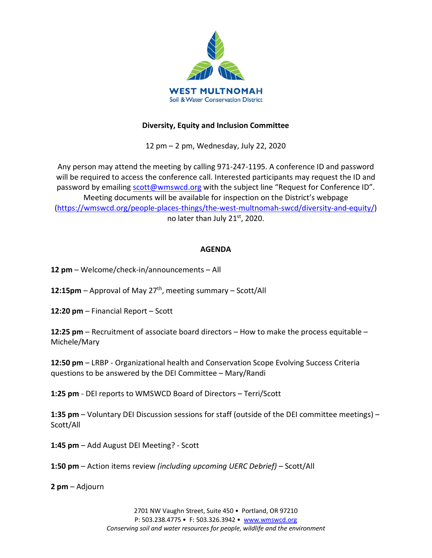

## **Diversity, Equity and Inclusion Committee**

12 pm – 2 pm, Wednesday, July 22, 2020

Any person may attend the meeting by calling 971-247-1195. A conference ID and password will be required to access the conference call. Interested participants may request the ID and password by emailing [scott@wmswcd.org](mailto:scott@wmswcd.org) with the subject line "Request for Conference ID". Meeting documents will be available for inspection on the District's webpage [\(https://wmswcd.org/people-places-things/the-west-multnomah-swcd/diversity-and-equity/\)](https://wmswcd.org/people-places-things/the-west-multnomah-swcd/diversity-and-equity/) no later than July 21st, 2020.

## **AGENDA**

**12 pm** – Welcome/check-in/announcements – All

12:15pm – Approval of May 27<sup>th</sup>, meeting summary – Scott/All

**12:20 pm** – Financial Report – Scott

**12:25 pm** – Recruitment of associate board directors – How to make the process equitable – Michele/Mary

**12:50 pm** – LRBP - Organizational health and Conservation Scope Evolving Success Criteria questions to be answered by the DEI Committee – Mary/Randi

**1:25 pm** - DEI reports to WMSWCD Board of Directors – Terri/Scott

**1:35 pm** – Voluntary DEI Discussion sessions for staff (outside of the DEI committee meetings) – Scott/All

**1:45 pm** – Add August DEI Meeting? - Scott

**1:50 pm** – Action items review *(including upcoming UERC Debrief)* – Scott/All

**2 pm** – Adjourn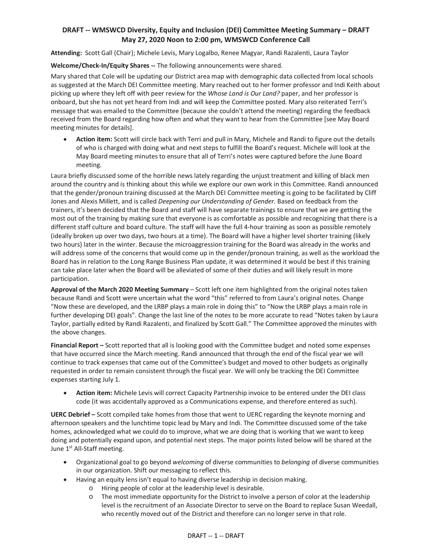## **DRAFT -- WMSWCD Diversity, Equity and Inclusion (DEI) Committee Meeting Summary – DRAFT May 27, 2020 Noon to 2:00 pm, WMSWCD Conference Call**

**Attending:** Scott Gall (Chair); Michele Levis, Mary Logalbo, Renee Magyar, Randi Razalenti, Laura Taylor

**Welcome/Check-In/Equity Shares --** The following announcements were shared.

Mary shared that Cole will be updating our District area map with demographic data collected from local schools as suggested at the March DEI Committee meeting. Mary reached out to her former professor and Indi Keith about picking up where they left off with peer review for the *Whose Land is Our Land?* paper, and her professor is onboard, but she has not yet heard from Indi and will keep the Committee posted. Mary also reiterated Terri's message that was emailed to the Committee (because she couldn't attend the meeting) regarding the feedback received from the Board regarding how often and what they want to hear from the Committee [see May Board meeting minutes for details].

• **Action item:** Scott will circle back with Terri and pull in Mary, Michele and Randi to figure out the details of who is charged with doing what and next steps to fulfill the Board's request. Michele will look at the May Board meeting minutes to ensure that all of Terri's notes were captured before the June Board meeting.

Laura briefly discussed some of the horrible news lately regarding the unjust treatment and killing of black men around the country and is thinking about this while we explore our own work in this Committee. Randi announced that the gender/pronoun training discussed at the March DEI Committee meeting is going to be facilitated by Cliff Jones and Alexis Millett, and is called *Deepening our Understanding of Gender*. Based on feedback from the trainers, it's been decided that the Board and staff will have separate trainings to ensure that we are getting the most out of the training by making sure that everyone is as comfortable as possible and recognizing that there is a different staff culture and board culture. The staff will have the full 4-hour training as soon as possible remotely (ideally broken up over two days, two hours at a time). The Board will have a higher level shorter training (likely two hours) later in the winter. Because the microaggression training for the Board was already in the works and will address some of the concerns that would come up in the gender/pronoun training, as well as the workload the Board has in relation to the Long Range Business Plan update, it was determined it would be best if this training can take place later when the Board will be alleviated of some of their duties and will likely result in more participation.

**Approval of the March 2020 Meeting Summary** – Scott left one item highlighted from the original notes taken because Randi and Scott were uncertain what the word "this" referred to from Laura's original notes. Change "Now these are developed, and the LRBP plays a main role in doing this" to "Now the LRBP plays a main role in further developing DEI goals". Change the last line of the notes to be more accurate to read "Notes taken by Laura Taylor, partially edited by Randi Razalenti, and finalized by Scott Gall." The Committee approved the minutes with the above changes.

**Financial Report –** Scott reported that all is looking good with the Committee budget and noted some expenses that have occurred since the March meeting. Randi announced that through the end of the fiscal year we will continue to track expenses that came out of the Committee's budget and moved to other budgets as originally requested in order to remain consistent through the fiscal year. We will only be tracking the DEI Committee expenses starting July 1.

• **Action item:** Michele Levis will correct Capacity Partnership invoice to be entered under the DEI class code (it was accidentally approved as a Communications expense, and therefore entered as such).

**UERC Debrief –** Scott compiled take homes from those that went to UERC regarding the keynote morning and afternoon speakers and the lunchtime topic lead by Mary and Indi. The Committee discussed some of the take homes, acknowledged what we could do to improve, what we are doing that is working that we want to keep doing and potentially expand upon, and potential next steps. The major points listed below will be shared at the June 1<sup>st</sup> All-Staff meeting.

- Organizational goal to go beyond *welcoming* of diverse communities to *belonging* of diverse communities in our organization. Shift our messaging to reflect this.
- Having an equity lens isn't equal to having diverse leadership in decision making.
	- o Hiring people of color at the leadership level is desirable.
	- o The most immediate opportunity for the District to involve a person of color at the leadership level is the recruitment of an Associate Director to serve on the Board to replace Susan Weedall, who recently moved out of the District and therefore can no longer serve in that role.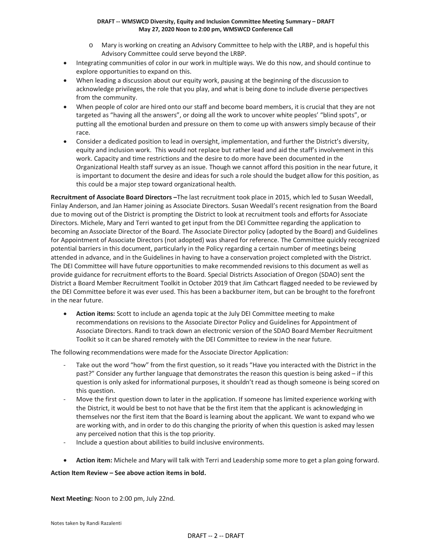#### **DRAFT -- WMSWCD Diversity, Equity and Inclusion Committee Meeting Summary – DRAFT May 27, 2020 Noon to 2:00 pm, WMSWCD Conference Call**

- o Mary is working on creating an Advisory Committee to help with the LRBP, and is hopeful this Advisory Committee could serve beyond the LRBP.
- Integrating communities of color in our work in multiple ways. We do this now, and should continue to explore opportunities to expand on this.
- When leading a discussion about our equity work, pausing at the beginning of the discussion to acknowledge privileges, the role that you play, and what is being done to include diverse perspectives from the community.
- When people of color are hired onto our staff and become board members, it is crucial that they are not targeted as "having all the answers", or doing all the work to uncover white peoples' "blind spots", or putting all the emotional burden and pressure on them to come up with answers simply because of their race.
- Consider a dedicated position to lead in oversight, implementation, and further the District's diversity, equity and inclusion work. This would not replace but rather lead and aid the staff's involvement in this work. Capacity and time restrictions and the desire to do more have been documented in the Organizational Health staff survey as an issue. Though we cannot afford this position in the near future, it is important to document the desire and ideas for such a role should the budget allow for this position, as this could be a major step toward organizational health.

**Recruitment of Associate Board Directors –**The last recruitment took place in 2015, which led to Susan Weedall, Finlay Anderson, and Jan Hamer joining as Associate Directors. Susan Weedall's recent resignation from the Board due to moving out of the District is prompting the District to look at recruitment tools and efforts for Associate Directors. Michele, Mary and Terri wanted to get input from the DEI Committee regarding the application to becoming an Associate Director of the Board. The Associate Director policy (adopted by the Board) and Guidelines for Appointment of Associate Directors (not adopted) was shared for reference. The Committee quickly recognized potential barriers in this document, particularly in the Policy regarding a certain number of meetings being attended in advance, and in the Guidelines in having to have a conservation project completed with the District. The DEI Committee will have future opportunities to make recommended revisions to this document as well as provide guidance for recruitment efforts to the Board. Special Districts Association of Oregon (SDAO) sent the District a Board Member Recruitment Toolkit in October 2019 that Jim Cathcart flagged needed to be reviewed by the DEI Committee before it was ever used. This has been a backburner item, but can be brought to the forefront in the near future.

• **Action items:** Scott to include an agenda topic at the July DEI Committee meeting to make recommendations on revisions to the Associate Director Policy and Guidelines for Appointment of Associate Directors. Randi to track down an electronic version of the SDAO Board Member Recruitment Toolkit so it can be shared remotely with the DEI Committee to review in the near future.

The following recommendations were made for the Associate Director Application:

- Take out the word "how" from the first question, so it reads "Have you interacted with the District in the past?" Consider any further language that demonstrates the reason this question is being asked – if this question is only asked for informational purposes, it shouldn't read as though someone is being scored on this question.
- Move the first question down to later in the application. If someone has limited experience working with the District, it would be best to not have that be the first item that the applicant is acknowledging in themselves nor the first item that the Board is learning about the applicant. We want to expand who we are working with, and in order to do this changing the priority of when this question is asked may lessen any perceived notion that this is the top priority.
- Include a question about abilities to build inclusive environments.
- **Action item:** Michele and Mary will talk with Terri and Leadership some more to get a plan going forward.

## **Action Item Review – See above action items in bold.**

**Next Meeting:** Noon to 2:00 pm, July 22nd.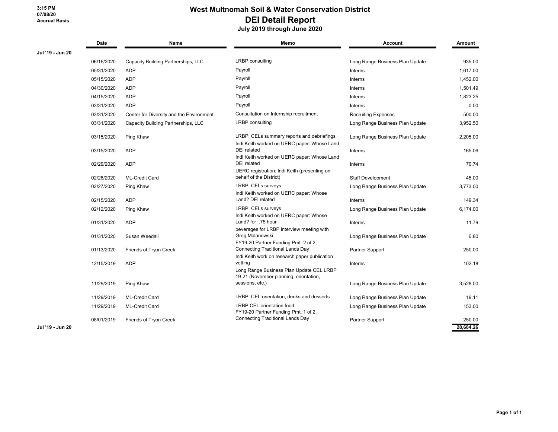## **West Multnomah Soil & Water Conservation District DEI Detail Report**

 **July 2019 through June 2020**

|                  | Date       | Name                                     | Memo                                                                                                      | <b>Account</b>                  | Amount    |
|------------------|------------|------------------------------------------|-----------------------------------------------------------------------------------------------------------|---------------------------------|-----------|
| Jul '19 - Jun 20 |            |                                          |                                                                                                           |                                 |           |
|                  | 06/16/2020 | Capacity Building Partnerships, LLC      | <b>LRBP</b> consulting                                                                                    | Long Range Business Plan Update | 935.00    |
|                  | 05/31/2020 | <b>ADP</b>                               | Payroll                                                                                                   | Interns                         | 1,617.00  |
|                  | 05/15/2020 | <b>ADP</b>                               | Payroll                                                                                                   | Interns                         | 1,452.00  |
|                  | 04/30/2020 | <b>ADP</b>                               | Payroll                                                                                                   | Interns                         | 1,501.49  |
|                  | 04/15/2020 | <b>ADP</b>                               | Payroll                                                                                                   | Interns                         | 1,823.25  |
|                  | 03/31/2020 | <b>ADP</b>                               | Payroll                                                                                                   | Interns                         | 0.00      |
|                  | 03/31/2020 | Center for Diversity and the Environment | Consultation on Internship recruitment                                                                    | <b>Recruiting Expenses</b>      | 500.00    |
|                  | 03/31/2020 | Capacity Building Partnerships, LLC      | <b>LRBP</b> consulting                                                                                    | Long Range Business Plan Update | 3,952.50  |
|                  | 03/15/2020 | Ping Khaw                                | LRBP: CELs summary reports and debriefings<br>Indi Keith worked on UERC paper: Whose Land                 | Long Range Business Plan Update | 2,205.00  |
|                  | 03/15/2020 | <b>ADP</b>                               | <b>DEI</b> related<br>Indi Keith worked on UERC paper: Whose Land                                         | Interns                         | 165.06    |
|                  | 02/29/2020 | <b>ADP</b>                               | <b>DEI</b> related<br>UERC registration: Indi Keith (presenting on                                        | Interns                         | 70.74     |
|                  | 02/28/2020 | <b>ML-Credit Card</b>                    | behalf of the District)                                                                                   | Staff Development               | 45.00     |
|                  | 02/27/2020 | Ping Khaw                                | LRBP: CELs surveys                                                                                        | Long Range Business Plan Update | 3,773.00  |
|                  | 02/15/2020 | <b>ADP</b>                               | Indi Keith worked on UERC paper: Whose<br>Land? DEI related                                               | Interns                         | 149.34    |
|                  | 02/12/2020 | Ping Khaw                                | LRBP: CELs surveys                                                                                        | Long Range Business Plan Update | 6,174.00  |
|                  | 01/31/2020 | <b>ADP</b>                               | Indi Keith worked on UERC paper: Whose<br>Land? for .75 hour<br>beverages for LRBP interview meeting with | Interns                         | 11.79     |
|                  | 01/31/2020 | Susan Weedall                            | Greg Malanowski<br>FY19-20 Partner Funding Pmt. 2 of 2,                                                   | Long Range Business Plan Update | 6.80      |
|                  | 01/13/2020 | Friends of Tryon Creek                   | <b>Connecting Traditional Lands Day</b><br>Indi Keith work on research paper publication                  | Partner Support                 | 250.00    |
|                  | 12/15/2019 | <b>ADP</b>                               | vetting<br>Long Range Business Plan Update CEL LRBP<br>19-21 (November planning, orientation,             | Interns                         | 102.18    |
|                  | 11/29/2019 | Ping Khaw                                | sessions, etc.)                                                                                           | Long Range Business Plan Update | 3,528.00  |
|                  | 11/29/2019 | <b>ML-Credit Card</b>                    | LRBP: CEL orientation, drinks and desserts                                                                | Long Range Business Plan Update | 19.11     |
|                  | 11/29/2019 | <b>ML-Credit Card</b>                    | LRBP CEL orientation food<br>FY19-20 Partner Funding Pmt. 1 of 2,                                         | Long Range Business Plan Update | 153.00    |
|                  | 08/01/2019 | Friends of Tryon Creek                   | <b>Connecting Traditional Lands Day</b>                                                                   | Partner Support                 | 250.00    |
| Jul '19 - Jun 20 |            |                                          |                                                                                                           |                                 | 28,684.26 |

**Jul '19 - Jun 20**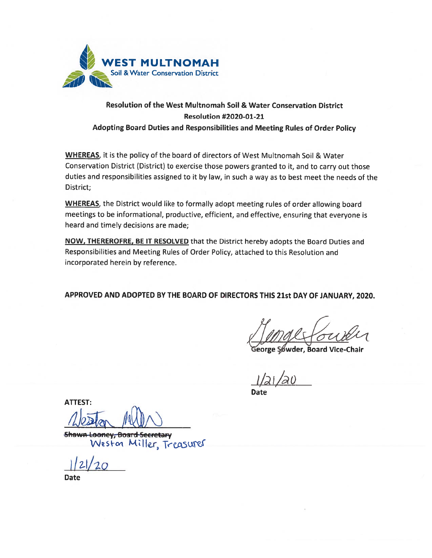

# Resolution of the West Multnomah Soil & Water Conservation District Resolution #2020-01-21 Adopting Board Duties and Responsibilities and Meeting Rules of Order Policy

WHEREAS, it is the policy of the board of directors of West Multnomah Soil & Water Conservation District (District) to exercise those powers granted to it, and to carry out those duties and responsibilities assigned to it by law, in such <sup>a</sup> way as to best meet the needs of the District;

WHEREAS, the District would like to formally adopt meeting rules of order allowing board meetings to be informational, productive, efficient, and effective, ensuring that everyone is heard and timely decisions are made;

NOW, THEREROFRE, BE IT RESOLVED that the District hereby adopts the Board Duties and Responsibilities and Meeting Rules of Order Policy, attached to this Resolution and incorporated herein by reference.

APPROVED AND ADOPTED BY THE BOARD OF DIRECTORS THIS 21st DAY OF JANUARY, 2020.

Board Vice-Chair

Date

ATTEST:

Shawn Looney, Board Secretary Weston Miller, Treasurer

121/20

Date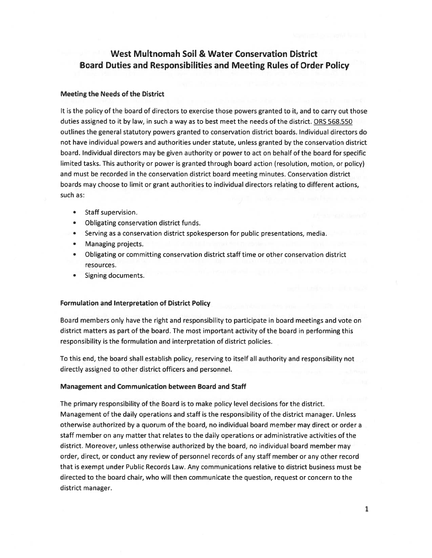# West Multnomah Soil & Water Conservation District Board Duties and Responsibilities and Meeting Rules of Order Policy

### Meeting the Needs of the District

It is the policy of the board of directors to exercise those powers granted to it, and to carry out those duties assigned to it by law, in such <sup>a</sup> way as to best meet the needs of the district. ORS 568.550 outlines the general statutory powers granted to conservation district boards. Individual directors do not have individual powers and authorities under statute, unless granted by the conservation district board. Individual directors may be given authority or power to act on behalf of the board for specific limited tasks. This authority or power is granted through board action (resolution, motion, or policy) and must be recorded in the conservation district board meeting minutes. Conservation district boards may choose to limit or gran<sup>t</sup> authorities to individual directors relating to different actions, such as:

- Staff supervision.
- Obligating conservation district funds.
- •Serving as <sup>a</sup> conservation district spokesperson for public presentations, media.
- Managing projects.
- • Obligating or committing conservation district staff time or other conservation district resources.
- Signing documents.

#### Formulation and Interpretation of District Policy

Board members only have the right and responsibility to participate in board meetings and vote on district matters as par<sup>t</sup> of the board. The most important activity of the board in performing this responsibility is the formulation and interpretation of district policies.

To this end, the board shall establish policy, reserving to itself all authority and responsibility not directly assigned to other district officers and personnel.

#### Management and Communication between Board and Staff

The primary responsibility of the Board is to make policy level decisions for the district. Management of the daily operations and staff is the responsibility of the district manager. Unless otherwise authorized by <sup>a</sup> quorum of the board, no individual board member may direct or order <sup>a</sup> staff member on any matter that relates to the daily operations or administrative activities of the district. Moreover, unless otherwise authorized by the board, no individual board member may order, direct, or conduct any review of personnel records of any staff member or any other record that is exemp<sup>t</sup> under Public Records Law. Any communications relative to district business must be directed to the board chair, who will then communicate the question, reques<sup>t</sup> or concern to the district manager.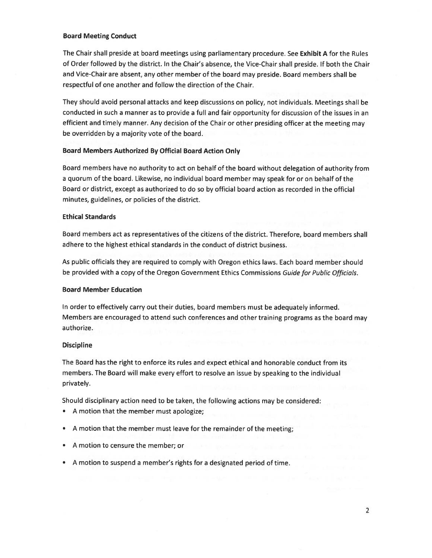### Board Meeting Conduct

The Chair shall preside at board meetings using parliamentary procedure. See Exhibit A for the Rules of Order followed by the district. In the Chair's absence, the Vice-Chair shall preside. If both the Chair and Vice-Chair are absent, any other member of the board may preside. Board members shall be respectful of one another and follow the direction of the Chair.

They should avoid persona<sup>l</sup> attacks and keep discussions on policy, not individuals. Meetings shall be conducted in such <sup>a</sup> manner as to provide <sup>a</sup> full and fair opportunity for discussion of the issues in an efficient and timely manner. Any decision of the Chair or other presiding officer at the meeting may be overridden by <sup>a</sup> majority vote of the board.

### Board Members Authorized By Official Board Action Only

Board members have no authority to act on behalf of the board without delegation of authority from a quorum of the board. Likewise, no individual board member may speak for or on behalf of the Board or district, excep<sup>t</sup> as authorized to do so by official board action as recorded in the official minutes, guidelines, or policies of the district.

### Ethical Standards

Board members act as representatives of the citizens of the district. Therefore, board members shall adhere to the highest ethical standards in the conduct of district business.

As public officials they are requited to comply with Oregon ethics laws. Each board member should be provided with a copy of the Oregon Government Ethics Commissions Guide for Public Officials.

#### Board Member Education

In order to effectively carry out their duties, board members must be adequately informed. Members are encouraged to attend such conferences and other training programs as the board may authorize.

#### **Discipline**

The Board has the right to enforce its rules and expec<sup>t</sup> ethical and honorable conduct from its members. The Board will make every effort to resolve an issue by speaking to the individual privately.

Should disciplinary action need to be taken, the following actions may be considered:

- A motion that the member must apologize;
- <sup>A</sup> motion that the member must leave for the remainder of the meeting;
- A motion to censure the member; or
- <sup>A</sup> motion to suspend <sup>a</sup> member's rights for <sup>a</sup> designated period of time.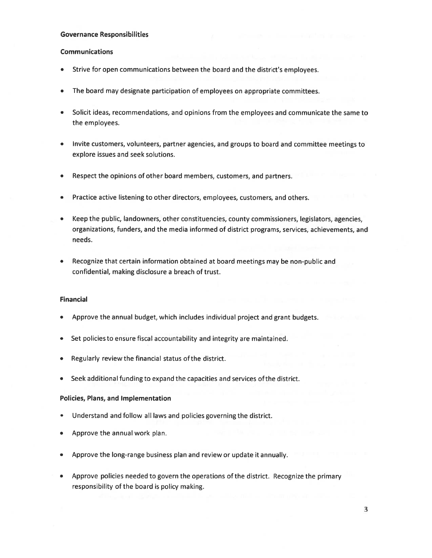#### Governance Responsibilities

### Communications

- Strive for open communications between the board and the district's employees.
- •The board may designate participation of employees on appropriate committees.
- • Solicit ideas, recommendations, and opinions from the employees and communicate the same to the employees.
- • Invite customers, volunteers, partner agencies, and groups to board and committee meetings to explore issues and seek solutions.
- •Respect the opinions of other board members, customers, and partners.
- •Practice active listening to other directors, employees, customers, and others.
- • Keep the public, landowners, other constituencies, county commissioners, legislators, agencies, organizations, funders, and the media informed of district programs, services, achievements, and needs.
- • Recognize that certain information obtained at board meetings may be non-public and confidential, making disclosure <sup>a</sup> breach of trust.

## Financial

- Approve the annual budget, which includes individual project and gran<sup>t</sup> budgets.
- Set policies to ensure fiscal accountability and integrity are maintained.
- •Regularly review the financial status ofthe district.
- Seek additional funding to expand the capacities and services of the district.

## Policies, Plans, and Implementation

- Understand and follow all laws and policies governing the district.
- Approve the annual work plan.
- •Approve the long-range business plan and review or update it annually.
- • Approve policies needed to govern the operations of the district. Recognize the primary responsibility of the board is policy making.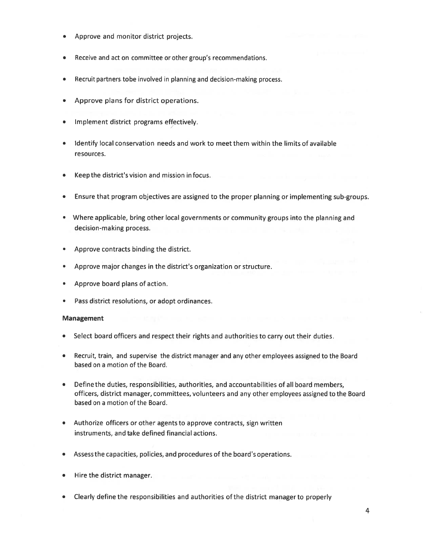- Approve and monitor district projects.
- Receive and act on committee or other group's recommendations.
- Recruit partners tobe involved in planning and decision-making process.
- Approve plans for district operations.
- Implement district programs effectively.
- Identify local conservation needs and work to meet them within the limits of available resources.
- Keepthe district's vision and mission infocus.
- Ensure that program objectives are assigned to the proper planning or implementing sub-groups.
- Where applicable, bring other local governments or community groups into the planning and decision-making process.
- Approve contracts binding the district.
- •Approve major changes in the district's organization or structure.
- Approve board plans of action.
- •Pass district resolutions, or adopt ordinances.

## Management

- •Select board officers and respec<sup>t</sup> their rights and authorities to carry out their duties.
- • Recruit, train, and supervise the district manager and any other employees assigned to the Board based on <sup>a</sup> motion of the Board.
- • Define the duties, responsibilities, authorities, and accountabilities of all board members, officers, district manager, committees, volunteers and any other employees assigned to the Board based on <sup>a</sup> motion of the Board.
- • Authorize officers or other agents to approve contracts, sign written instruments, and take defined financial actions.
- •Assess the capacities, policies, and procedures of the board's operations.
- Hire the district manager.
- •Clearly define the responsibilities and authorities of the district manager to properly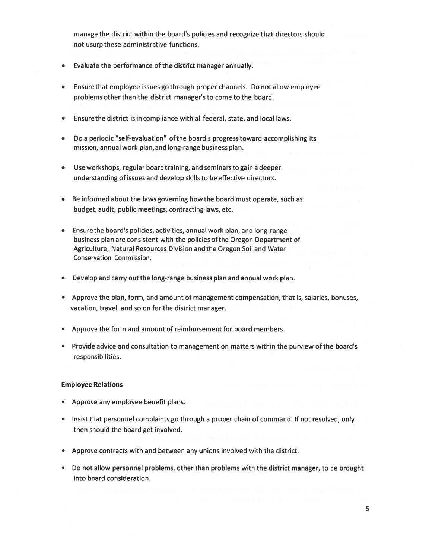manage the district within the board's policies and recognize that directors should not usurp these administrative functions.

- Evaluate the performance of the district manager annually.
- Ensure that employee issues go through proper channels. Do not allow employee problems other than the district manager's to come to the board.
- Ensure the district is in compliance with all federal, state, and local laws.
- Do <sup>a</sup> periodic "self-evaluation" ofthe board's progress toward accomplishing its mission, annual work plan, and long-range business plan.
- • Use workshops, regular boardtraining, and seminarsto gain <sup>a</sup> deeper understanding of issues and develop skills to be effective directors.
- • Be informed about the laws governing howthe board must operate, such as budget, audit, public meetings, contracting laws, etc.
- • Ensurethe board's policies, activities, annual work plan, and long-range business plan are consistent with the policies ofthe Oregon Department of Agriculture, Natural Resources Division and the Oregon Soil and Water Conservation Commission.
- •Develop and carry out the long-range business plan and annual work plan.
- Approve the plan, form, and amount of managemen<sup>t</sup> compensation, that is, salaries, bonuses, vacation, travel, and so on for the district manager.
- Approve the form and amount of reimbursement for board members.
- Provide advice and consultation to managemen<sup>t</sup> on matters within the purview of the board's responsibilities.

#### Employee Relations

- Approve any employee benefit plans.
- Insist that personnel complaints go through <sup>a</sup> proper chain of command. If not resolved, only then should the board ge<sup>t</sup> involved.
- Approve contracts with and between any unions involved with the district.
- Do not allow personnel problems, other than problems with the district manager, to be brought into board consideration.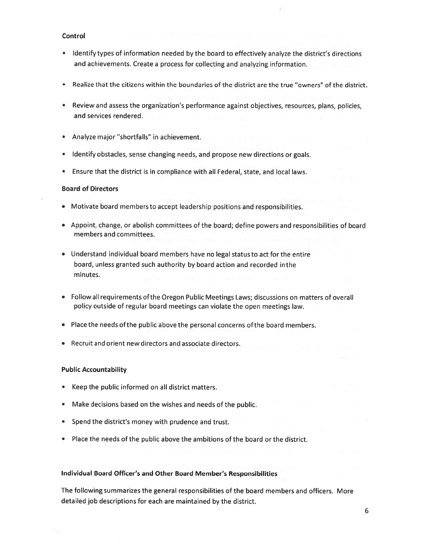#### Control

- • Identify types of information needed by the board to effectively analyze the district's directions and achievements. Create <sup>a</sup> process for collecting and analyzing information.
- •Realize that the citizens within the boundaries of the district are the true "owners" of the district.
- Review and assess the organization's performance against objectives, resources, <sup>p</sup>lans, policies, and services rendered.
- •Analyze major "shortfalls" in achievement.
- Identify obstacles, sense changing needs, and propose new directions or goals.
- Ensure that the district is in compliance with all Federal, state, and local laws.

## Board of Directors

- Motivate board members to accep<sup>t</sup> leadership positions and responsibilities.
- Appoint, change, or abolish committees of the board; define powers and responsibilities of board members and committees.
- Understand individual board members have no legal status to act for the entire board, unless granted such authority by board action and recorded inthe minutes.
- Followall requirements ofthe Oregon Public Meetings Laws; discussions on matters of overall policy outside of regular board meetings can violate the open meetings law.
- Place the needs ofthe public above the personal concerns ofthe board members.
- •Recruit and orient new directors and associate directors.

## Public Accountability

- Keep the public informed on all district matters.
- •Make decisions based on the wishes and needs of the public.
- Spend the district's money with prudence and trust.
- Place the needs of the public above the ambitions of the board or the district.

## Individual Board Officer's and Other Board Member's Responsibilities

The following summarizes the general responsibilities of the board members and officers. More detailed job descriptions for each are maintained by the district.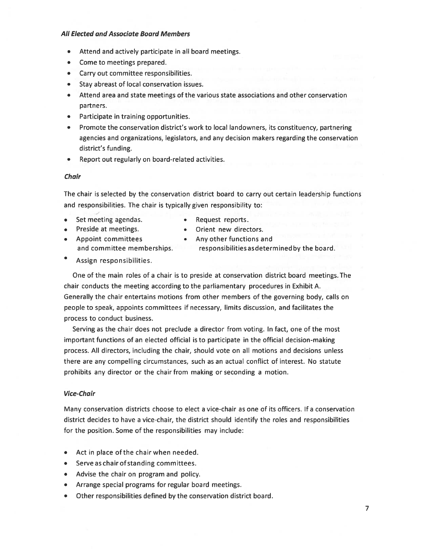#### All Elected and Associate Board Members

- •Attend and actively participate in all board meetings.
- •Come to meetings prepared.
- Carry out committee responsibilities.
- Stay abreast of local conservation issues.
- Attend area and state meetings of the various state associations and other conservation partners.
- Participate in training opportunities.
- • Promote the conservation district's work to local landowners, its constituency, partnering agencies and organizations, legislators, and any decision makers regarding the conservation district's funding.
- Report out regularly on board-related activities.

#### Chair

The chair is selected by the conservation district board to carry out certain leadership functions and responsibilities. The chair is typically given responsibility to:

- •Set meeting agendas. • Request reports.
	-
- •Preside at meetings. **•** Orient new directors. • Appoint committees • Any other functions and
	-

and committee memberships. The responsibilities as determined by the board.

Assign responsibilities.

One of the main roles of <sup>a</sup> chair is to preside at conservation district board meetings. The chair conducts the meeting according to the parliamentary procedures in Exhibit A. Generally the chair entertains motions from other members of the governing body, calls on people to speak, appoints committees if necessary, limits discussion, and facilitates the process to conduct business.

Serving as the chair does not preclude <sup>a</sup> director from voting. In fact, one of the most important functions of an elected official is to participate in the official decision-making process. All directors, including the chair, should vote on all motions and decisions unless there are any compelling circumstances, such as an actual conflict of interest. No statute prohibits any director or the chair from making or seconding <sup>a</sup> motion.

### Vice-Chair

Many conservation districts choose to elect <sup>a</sup> vice-chair as one of its officers. If <sup>a</sup> conservation district decides to have <sup>a</sup> vice-chair, the district should identify the roles and responsibilities for the position. Some of the responsibilities may include:

- Act in place of the chair when needed.
- Serve as chair ofstanding committees.
- Advise the chair on program and policy.
- Arrange special programs for regular board meetings.
- $\bullet$ Other responsibilities defined by the conservation district board.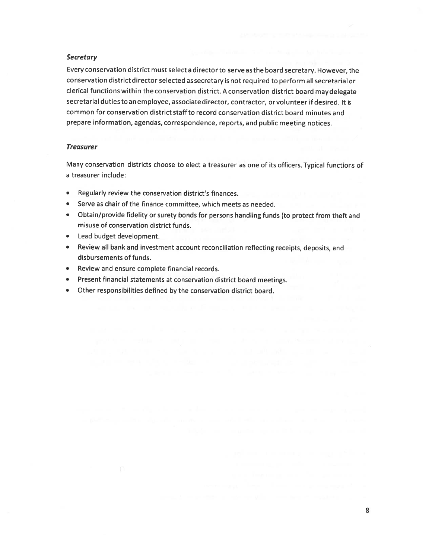#### **Secretary**

Every conservation district must select <sup>a</sup> directorto serve asthe board secretary. However, the conservation districtdirector selected assecretary is not required to perform all secretarial or clerical functions within the conservation district. <sup>A</sup> conservation district board maydelegate secretarial duties to an employee, associate director, contractor, orvolunteer if desired. It common for conservation district staffto record conservation district board minutes and prepare information, agendas, correspondence, reports, and public meeting notices.

#### **Treasurer**

Many conservation districts choose to elect <sup>a</sup> treasurer as one of its officers. Typical functions of <sup>a</sup> treasurer include:

- •Regularly review the conservation district's finances.
- •Serve as chair of the finance committee, which meets as needed.
- Obtain/provide fidelity or surety bonds for persons handling funds (to protect from theft and misuse of conservation district funds.
- •Lead budget development.
- • Review all bank and investment account reconciliation reflecting receipts, deposits, and disbursements of funds.
- •Review and ensure complete financial records.
- •Present financial statements at conservation district board meetings.
- •Other responsibilities defined by the conservation district board.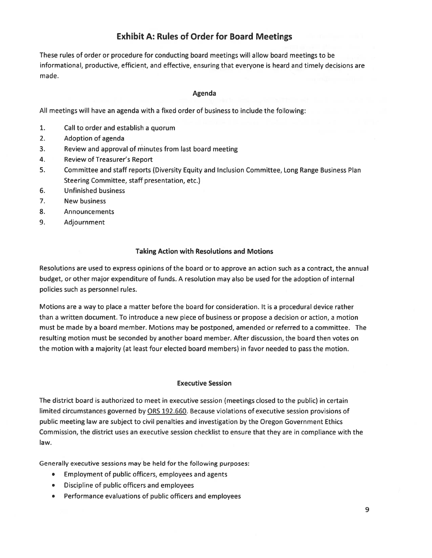# Exhibit A: Rules of Order for Board Meetings

These rules of order or procedure for conducting board meetings will allow board meetings to be informational, productive, efficient, and effective, ensuring that everyone is heard and timely decisions are made.

## Agenda

All meetings will have an agenda with <sup>a</sup> fixed order of business to include the following:

- 1. Call to order and establish <sup>a</sup> quorum
- 2. Adoption of agenda
- 3. Review and approval of minutes from last board meeting
- 4. Review of Treasurer's Report
- 5. Committee and staff reports (Diversity Equity and Inclusion Committee, Long Range Business Plan Steering Committee, staff presentation, etc.)
- 6. Unfinished business
- 7. New business
- 8. Announcements
- 9. Adjournment

### Taking Action with Resolutions and Motions

Resolutions are used to express opinions of the board or to approve an action such as a contract, the annual budget, or other major expenditure of funds. A resolution may also be used for the adoption of internal policies such as personnel rules.

Motions are <sup>a</sup> way to place <sup>a</sup> matter before the board for consideration. It is <sup>a</sup> procedural device rather than <sup>a</sup> written document. To introduce <sup>a</sup> new piece of business or propose <sup>a</sup> decision or action, <sup>a</sup> motion must be made by <sup>a</sup> board member. Motions may be postponed, amended or referred to <sup>a</sup> committee. The resulting motion must be seconded by another board member. After discussion, the board then votes on the motion with <sup>a</sup> majority (at least four elected board members) in favor needed to pass the motion.

#### Executive Session

The district board is authorized to meet in executive session (meetings closed to the public) in certain limited circumstances governed by ORS 192.660. Because violations of executive session provisions of public meeting law are subject to civil penalties and investigation by the Oregon Government Ethics Commission, the district uses an executive session checklist to ensure that they are in compliance with the law.

Generally executive sessions may be held for the following purposes:

- Employment of public officers, employees and agents
- Discipline of public officers and employees
- Performance evaluations of public officers and employees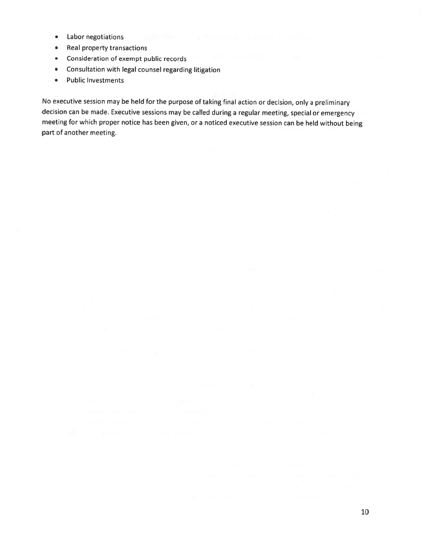- •Labor negotiations
- •Real property transactions
- •Consideration of exemp<sup>t</sup> public records
- •Consultation with legal counsel regarding litigation
- •Public Investments

No executive session may be held for the purpose of taking final action or decision, only <sup>a</sup> preliminary decision can be made. Executive sessions may be called during <sup>a</sup> regular meeting, special or emergency meeting for which proper notice has been <sup>g</sup>iven, or <sup>a</sup> noticed executive session can be held without being par<sup>t</sup> of another meeting.